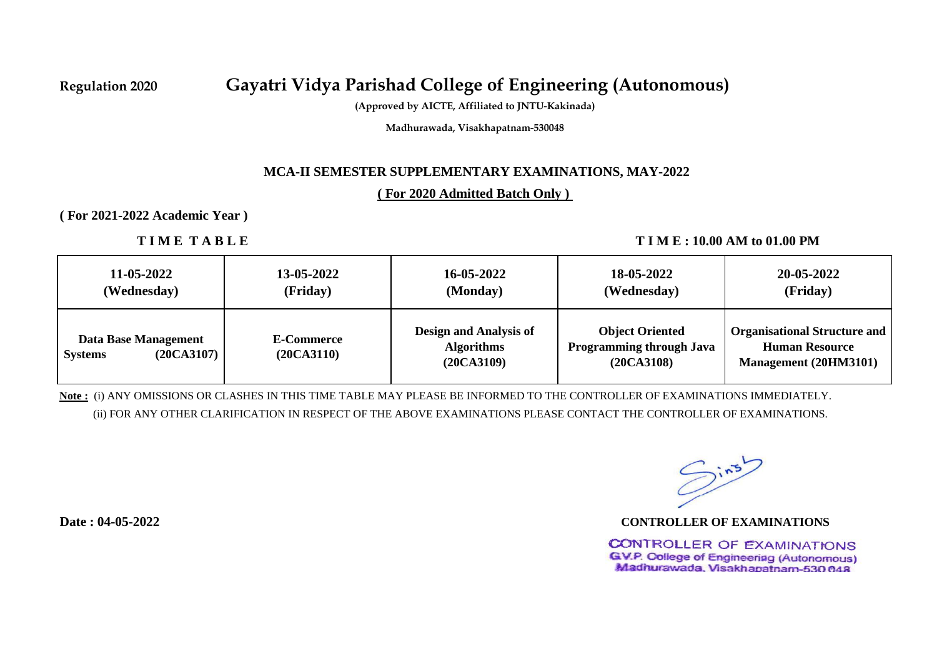# **Regulation 2020 Gayatri Vidya Parishad College of Engineering (Autonomous)**

**(Approved by AICTE, Affiliated to JNTU-Kakinada)**

**Madhurawada, Visakhapatnam-530048**

### **MCA-II SEMESTER SUPPLEMENTARY EXAMINATIONS, MAY-2022**

### **( For 2020 Admitted Batch Only )**

**( For 2021-2022 Academic Year )** 

### **TIMETABLE** TIME: 10.00 AM to 01.00 PM

| 11-05-2022                                           | 13-05-2022                      | 16-05-2022                                                       | 18-05-2022                                                              | 20-05-2022                                                                            |
|------------------------------------------------------|---------------------------------|------------------------------------------------------------------|-------------------------------------------------------------------------|---------------------------------------------------------------------------------------|
| (Wednesday)                                          | (Friday)                        | (Monday)                                                         | (Wednesday)                                                             | (Friday)                                                                              |
| Data Base Management<br>(20CA3107)<br><b>Systems</b> | <b>E-Commerce</b><br>(20CA3110) | <b>Design and Analysis of</b><br><b>Algorithms</b><br>(20CA3109) | <b>Object Oriented</b><br><b>Programming through Java</b><br>(20CA3108) | <b>Organisational Structure and</b><br><b>Human Resource</b><br>Management (20HM3101) |

**Note :** (i) ANY OMISSIONS OR CLASHES IN THIS TIME TABLE MAY PLEASE BE INFORMED TO THE CONTROLLER OF EXAMINATIONS IMMEDIATELY.

(ii) FOR ANY OTHER CLARIFICATION IN RESPECT OF THE ABOVE EXAMINATIONS PLEASE CONTACT THE CONTROLLER OF EXAMINATIONS.

 $S^{ins}$ 

**Date : 04-05-2022 CONTROLLER OF EXAMINATIONS**

**CONTROLLER OF EXAMINATIONS G.V.P. College of Engineering (Autonomous)** Madhurawada, Visakhapatnam-530 048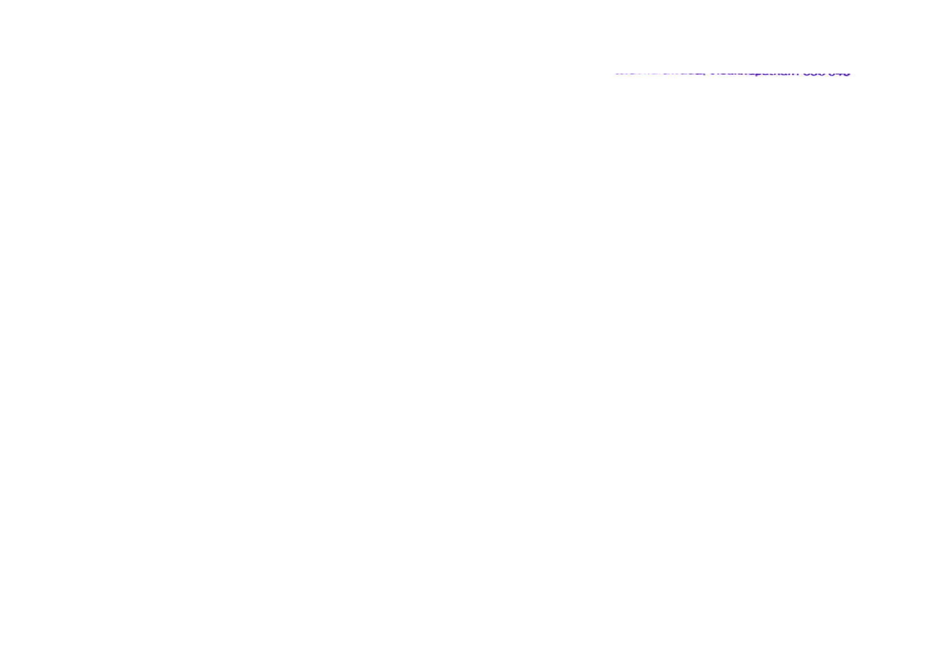**CONTRACTOR COMMUNISMENT CON UTO**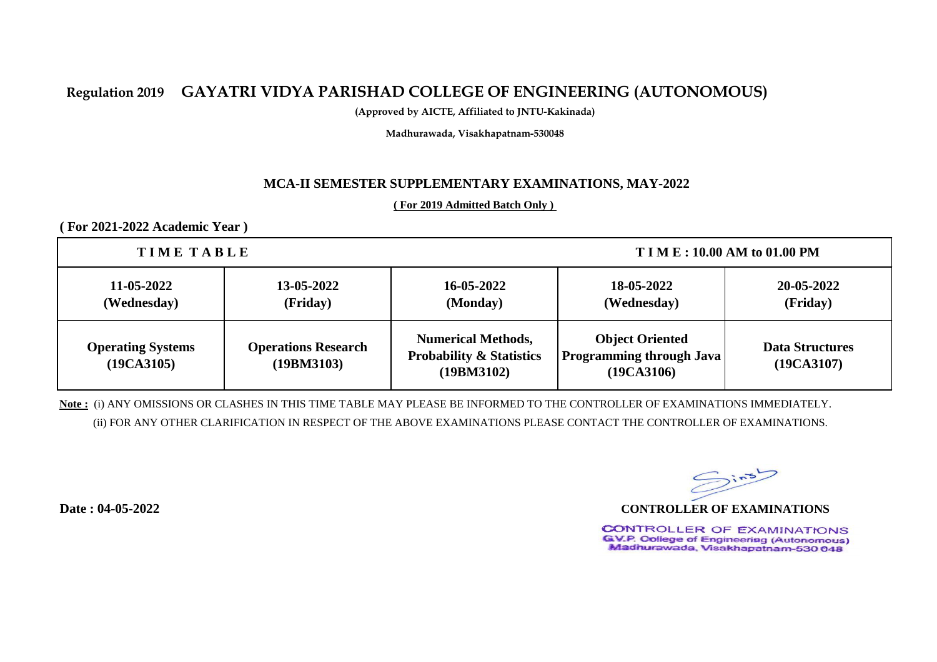## **Regulation 2019 GAYATRI VIDYA PARISHAD COLLEGE OF ENGINEERING (AUTONOMOUS)**

**(Approved by AICTE, Affiliated to JNTU-Kakinada)**

**Madhurawada, Visakhapatnam-530048**

### **MCA-II SEMESTER SUPPLEMENTARY EXAMINATIONS, MAY-2022**

#### **( For 2019 Admitted Batch Only )**

**( For 2021-2022 Academic Year )** 

 **T I M E T A B L E T I M E : 10.00 AM to 01.00 PM**

| IIME IADLE                             |                                          | 1 1 IVI E . 10.00 ANI to 01.00 I M                                             |                                                                         |                                      |  |
|----------------------------------------|------------------------------------------|--------------------------------------------------------------------------------|-------------------------------------------------------------------------|--------------------------------------|--|
| 11-05-2022<br>(Wednesday)              | 13-05-2022<br>(Friday)                   | 16-05-2022<br>(Monday)                                                         | 18-05-2022<br>(Wednesday)                                               | 20-05-2022<br>(Friday)               |  |
| <b>Operating Systems</b><br>(19CA3105) | <b>Operations Research</b><br>(19BM3103) | <b>Numerical Methods,</b><br><b>Probability &amp; Statistics</b><br>(19BM3102) | <b>Object Oriented</b><br><b>Programming through Java</b><br>(19CA3106) | <b>Data Structures</b><br>(19CA3107) |  |

**Note :** (i) ANY OMISSIONS OR CLASHES IN THIS TIME TABLE MAY PLEASE BE INFORMED TO THE CONTROLLER OF EXAMINATIONS IMMEDIATELY. (ii) FOR ANY OTHER CLARIFICATION IN RESPECT OF THE ABOVE EXAMINATIONS PLEASE CONTACT THE CONTROLLER OF EXAMINATIONS.

 $\sum_{i=1}^{n}$ 

**Date : 04-05-2022 CONTROLLER OF EXAMINATIONS**

**CONTROLLER OF EXAMINATIONS** G.V.P. College of Engineering (Autonomous) Madhurawada, Visakhapatnam-530 048